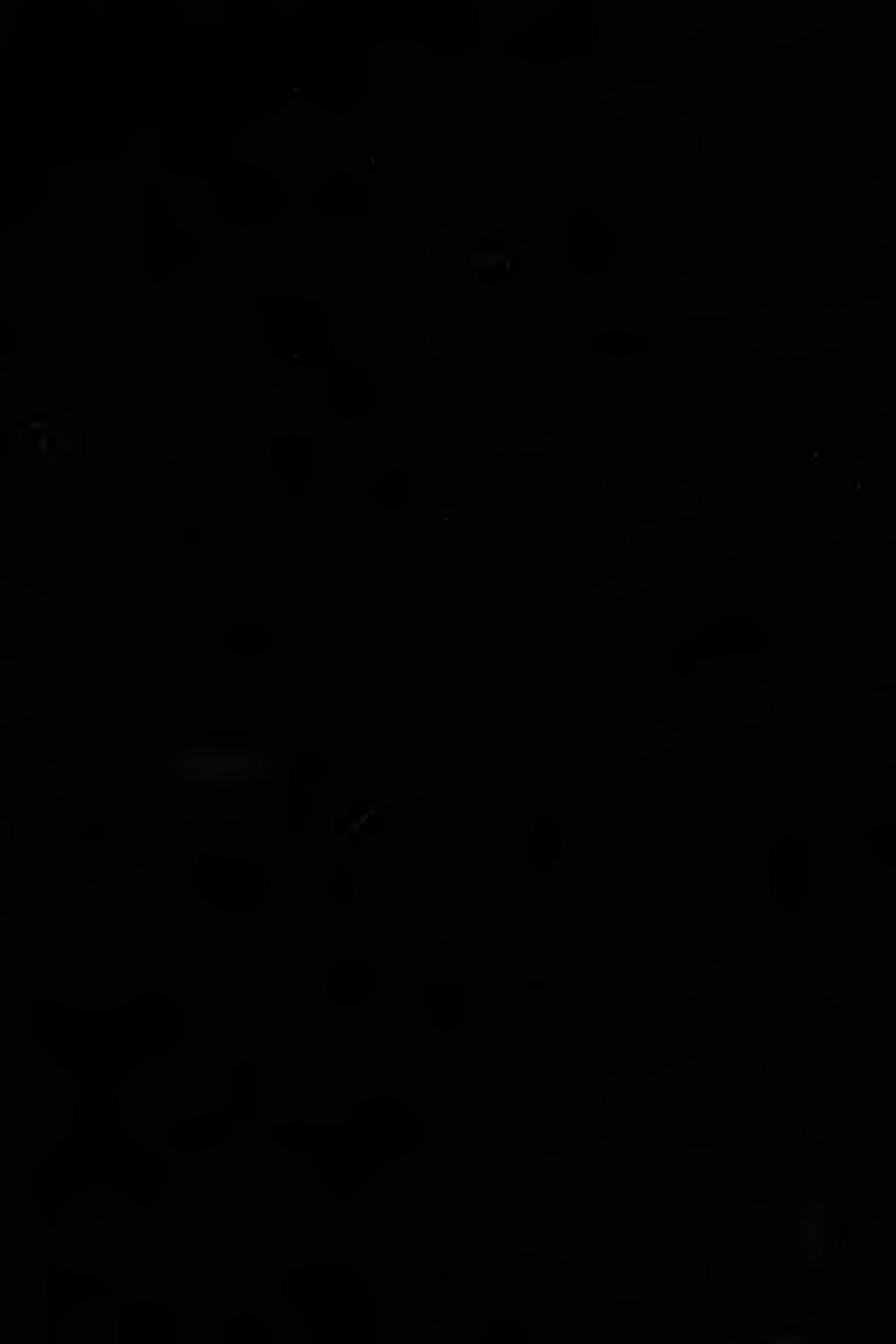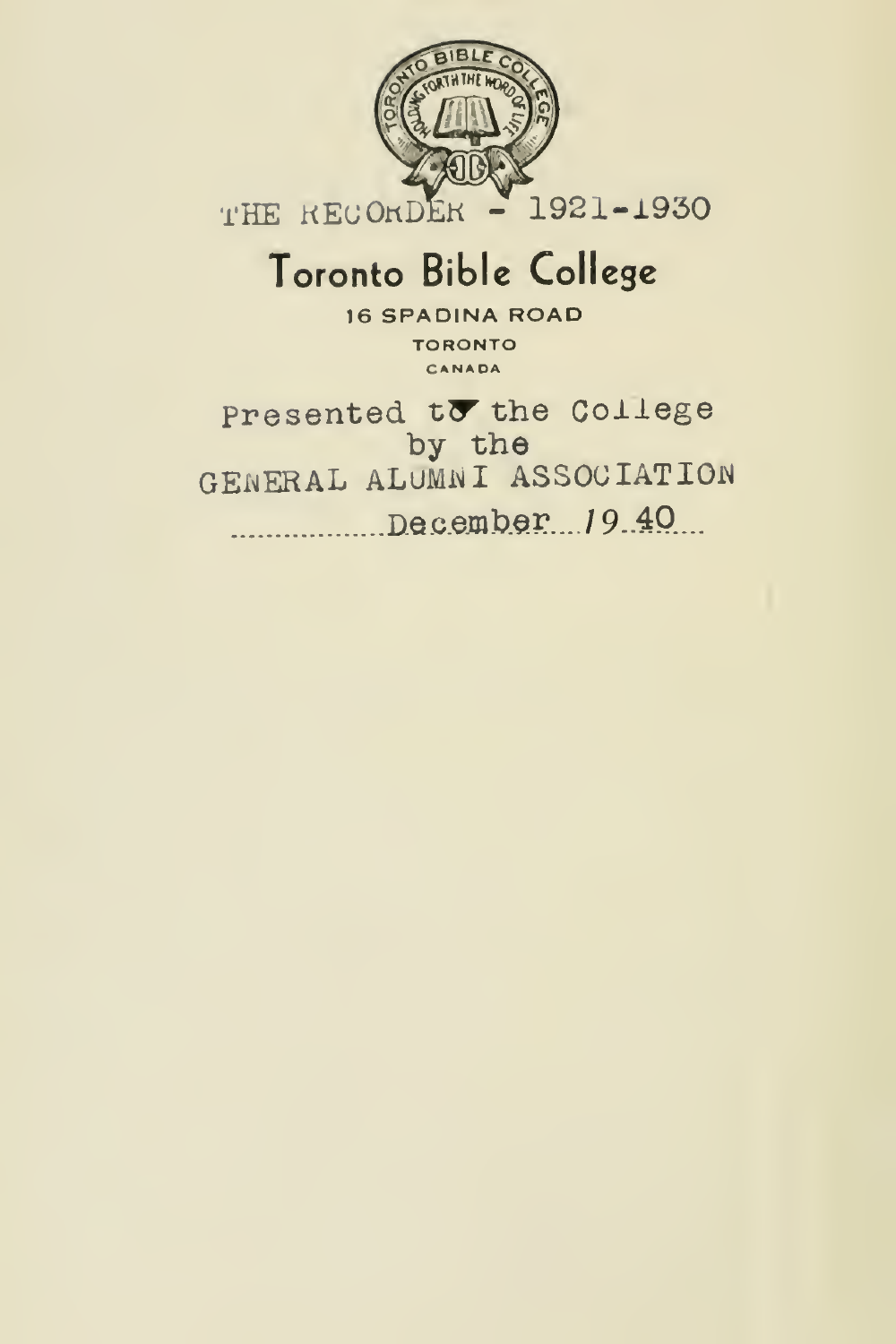

# Toronto Bible College

**16 SPADINA ROAD TORONTO** CANADA

Presented to the College by the GENERAL ALUMNI ASSOCIATION December 19.40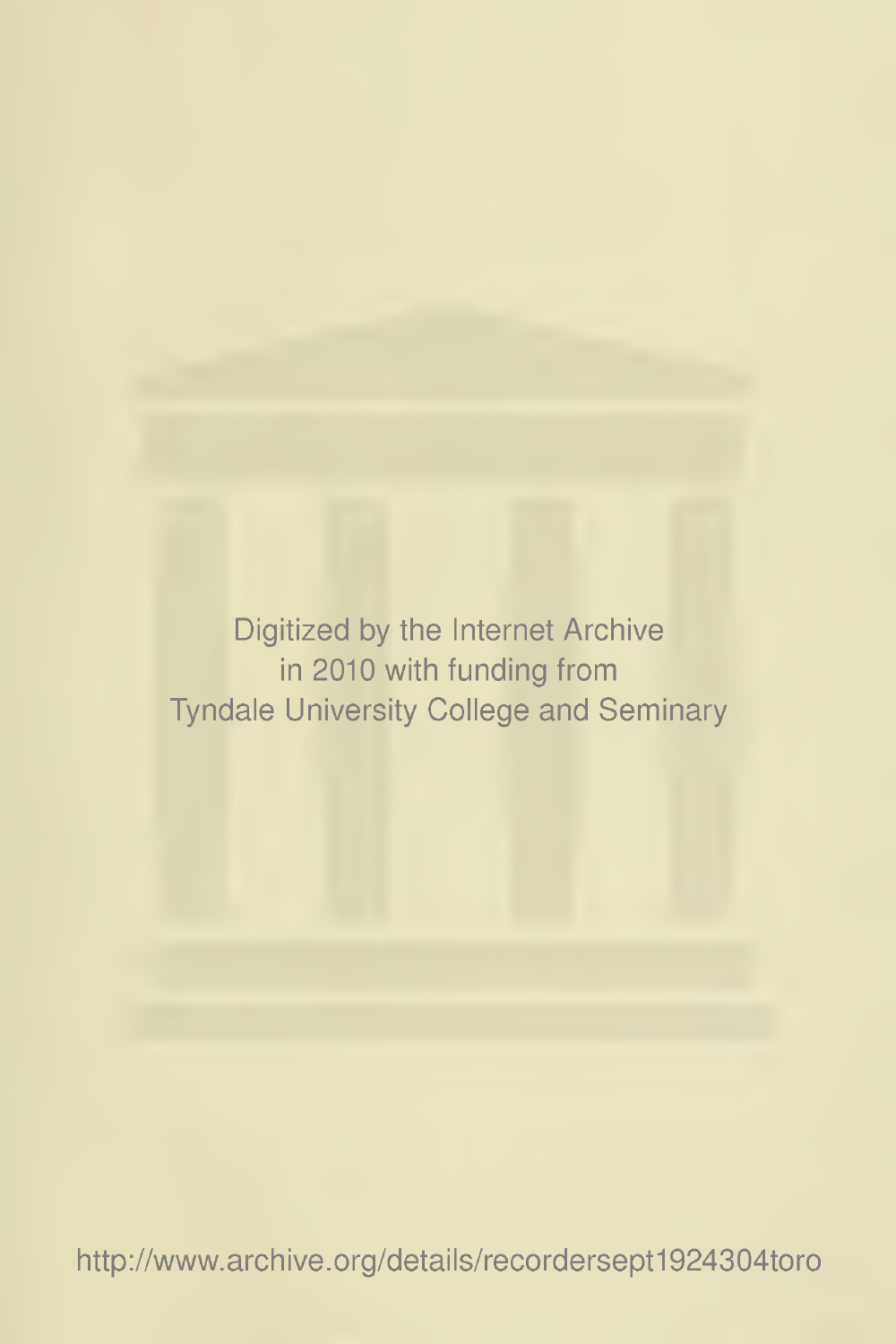Digitized by the Internet Archive in 2010 with funding from Tyndale University College and Seminary

http://www.arGhive.org/details/recordersept1924304toro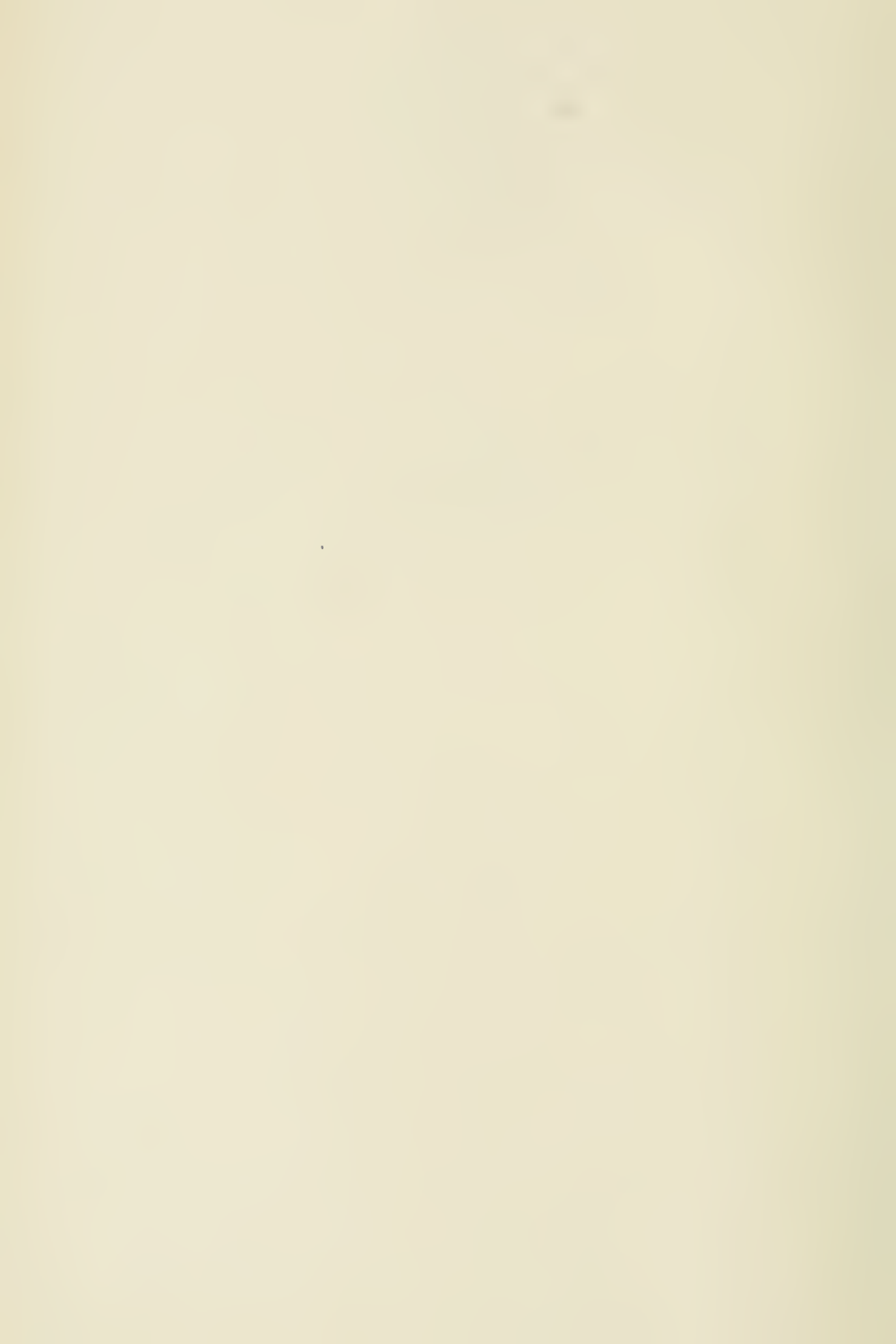**Contract Contract**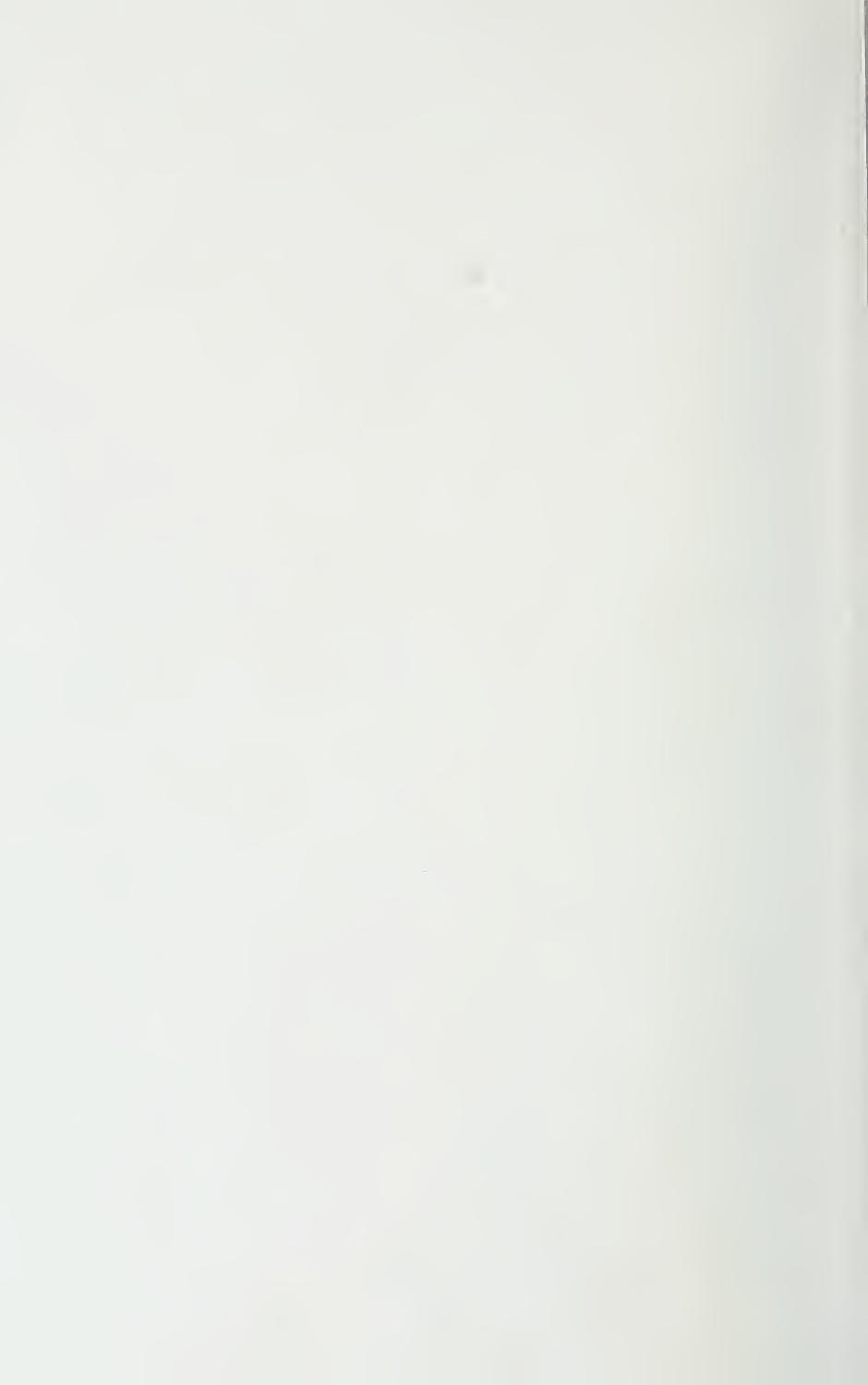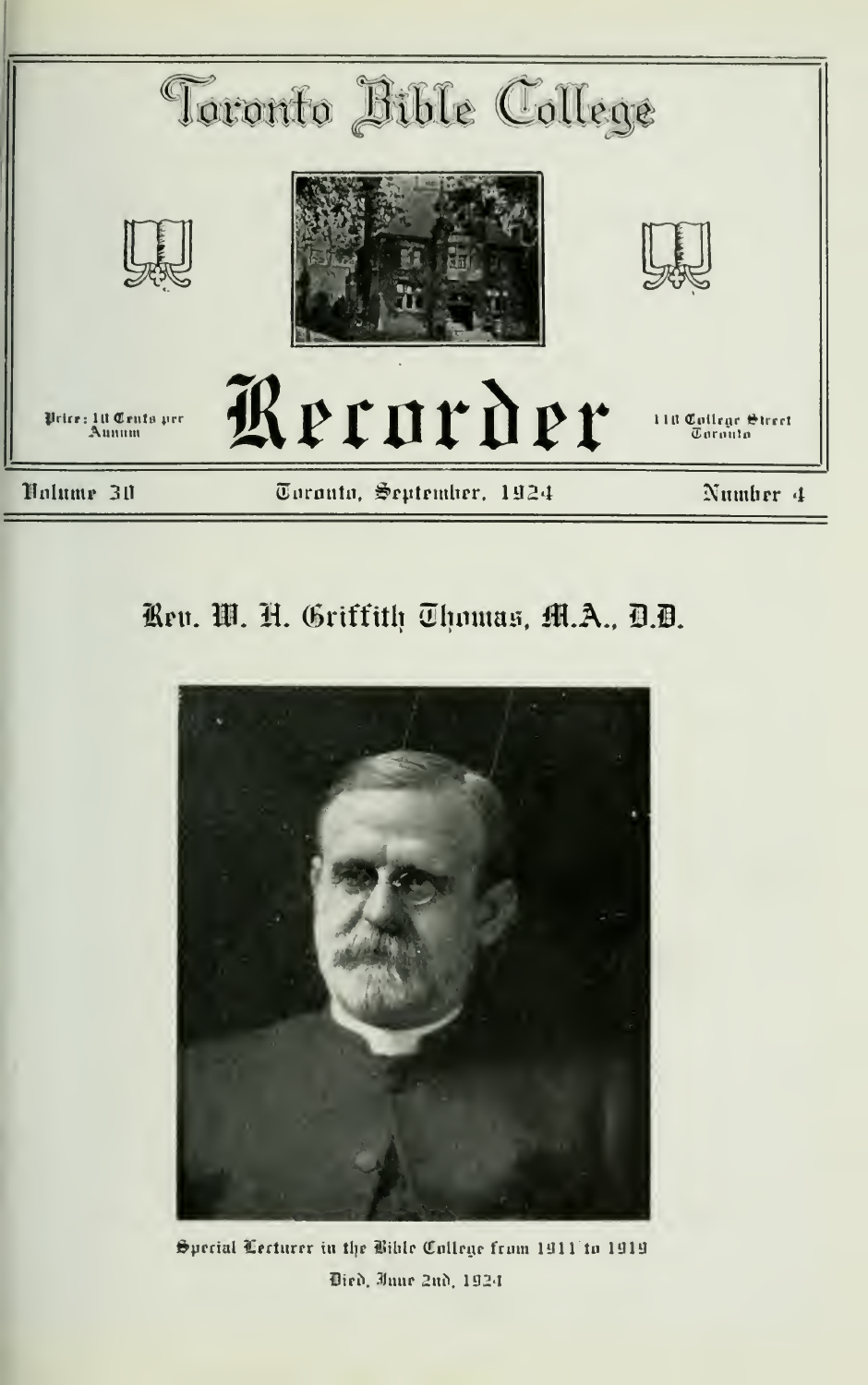

Ren. W. H. Griffith Thomas, M.A., D.D.



Special Cecturer in the Bible College from 1911 to 1919 Died, June 2nd, 1924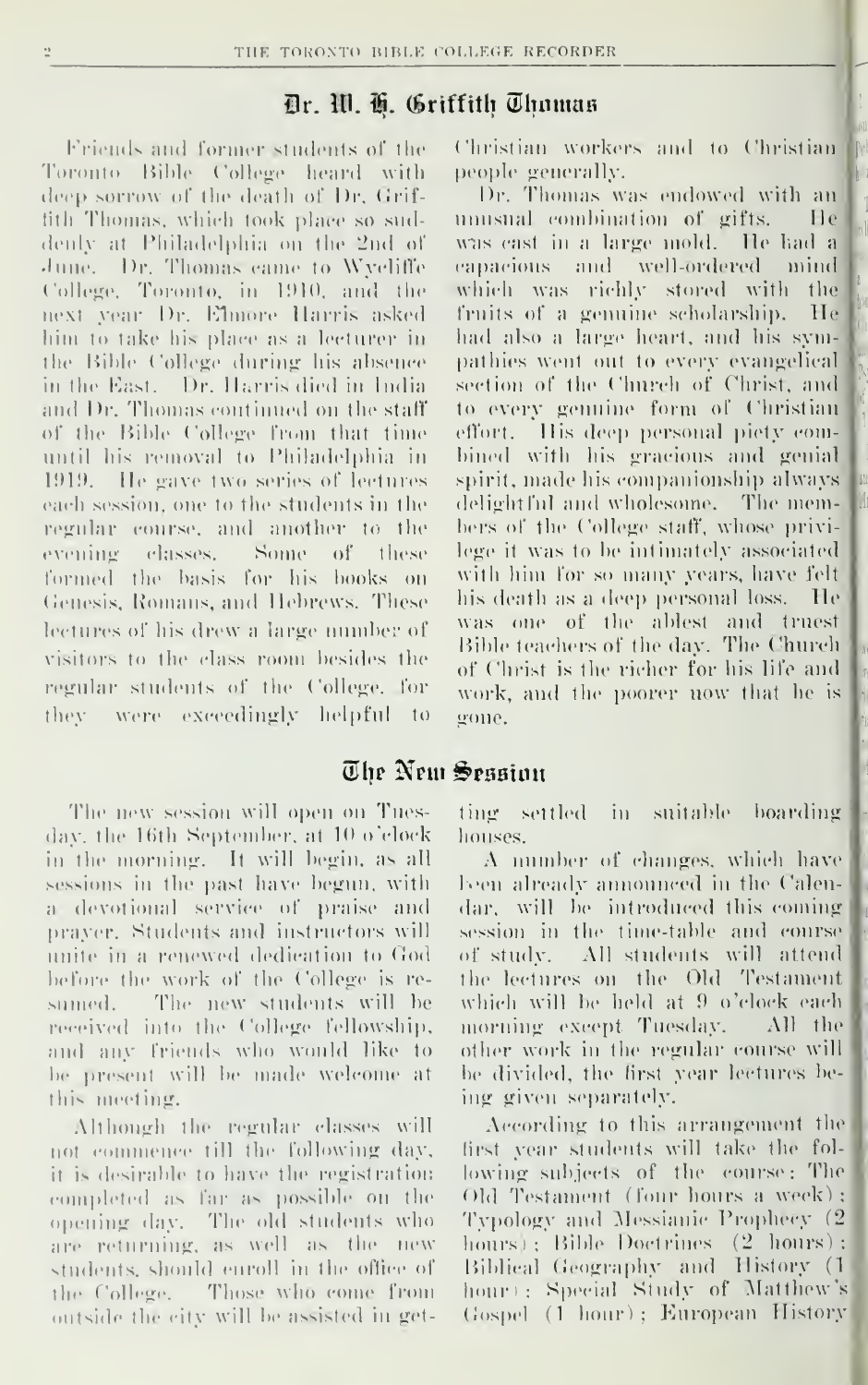## Dr. W. G. Griffith Thomas

Friends and former students of the Toronto Bible College heard with deep sorrow of the death of Dr. Griftith Thomas, which took place so suddenly at Philadelphia on the 2nd of June. Dr. Thomas came to Wycliffe College, Toronto, in 1910, and the next year Dr. Elmore Harris asked him to take his place as a lecturer in the Bible College during his absence in the East. Dr. Harris died in India and Dr. Thomas continued on the staff of the Bible College from that time until his removal to Philadelphia in 1919. He gave two series of lectures each session, one to the students in the regular course, and another to the evening classes. Some of these formed the basis for his books on Genesis, Romans, and Hebrews. These lectures of his drew a large number of visitors to the class room besides the regular students of the College, for they were exceedingly helpful to

The new session will open on Tuesday, the 16th September, at 10 o'clock in the morning. It will begin, as all sessions in the past have begun, with a devotional service of praise and prayer. Students and instructors will unite in a renewed dedication to God before the work of the College is resumed. The new students will be received into the College fellowship, and any friends who would like to be present will be made welcome at this meeting.

Although the regular classes will not commence till the following day, it is desirable to have the registration completed as far as possible on the opening day. The old students who are returning, as well as the new students, should euroll in the office of the College. Those who come from outside the city will be assisted in getChristian workers and to Christian people generally.

Dr. Thomas was endowed with an unusual combination of gifts. - He was east in a large mold. He had a eapacious and well-ordered mind which was richly stored with the fruits of a genuine scholarship. He had also a large heart, and his sympathies went out to every evangelical section of the Church of Christ, and to every genuine form of Christian effort. His deep personal piety combined with his gracious and genial spirit, made his companionship always delightful and wholesome. The members of the College staff, whose privilege it was to be intimately associated with him for so many years, have felt his death as a deep personal loss. He was one of the ablest and truest Bible teachers of the day. The Church of Christ is the richer for his life and work, and the poorer now that he is gone.

M

#### The New <del>S</del>ession

ting settled in suitable boarding houses.

A number of changes, which have been already announced in the Calendar, will be introduced this coming session in the time-table and course of study. All students will attend the lectures on the Old Testament which will be held at 9 o'clock each morning except Tuesday. All the other work in the regular course will be divided, the first year lectures being given separately.

According to this arrangement the first year students will take the following subjects of the course: The Old Testament (four hours a week); Typology and Messianic Prophecy (2 hours); Bible Doctrines (2 hours); Biblical Geography and History (1 hour) : Special Study of Matthew's Gospel (1 hour); European History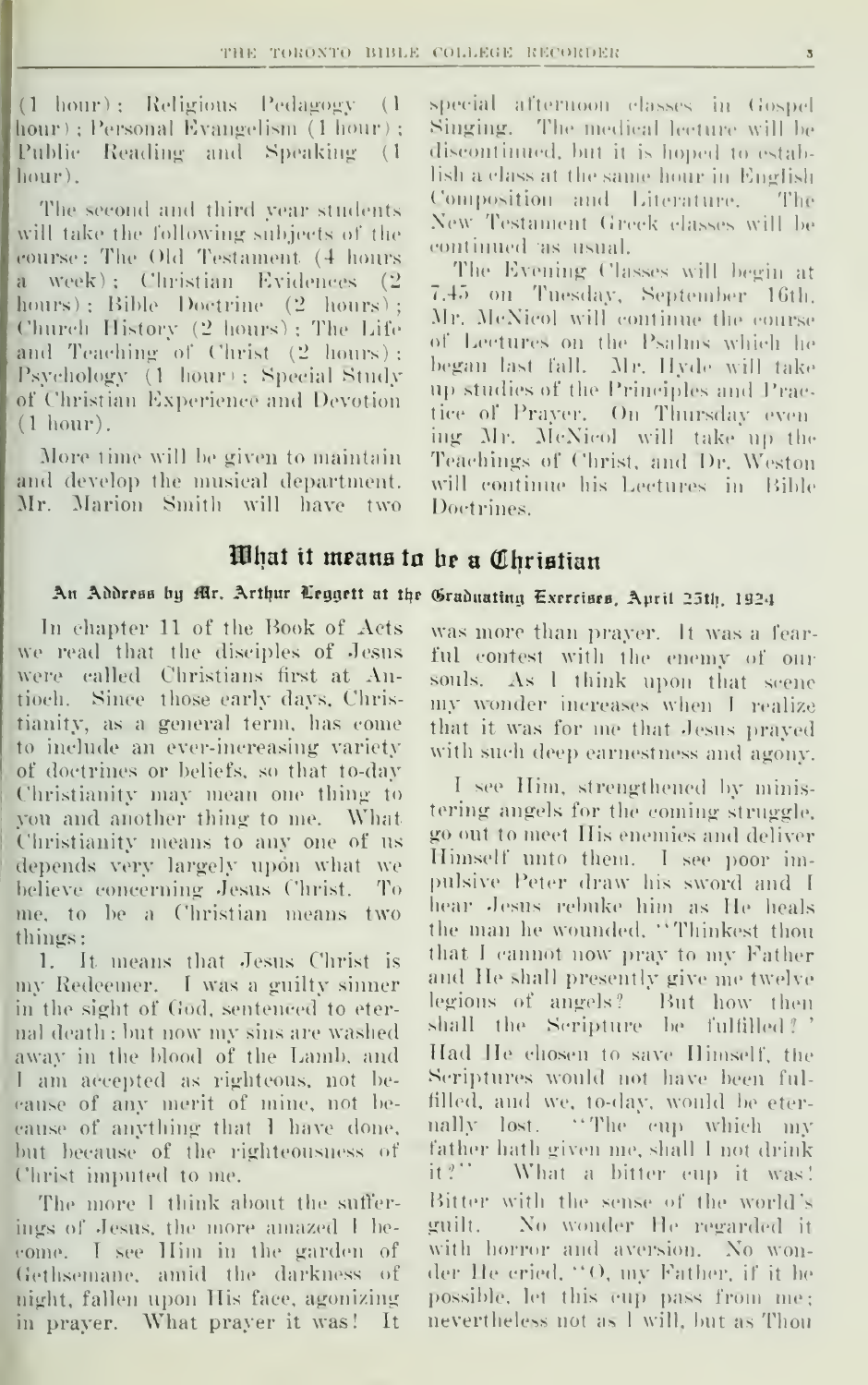(1 hour); Religious Pedagogy  $(1)$ hour) : Personal Evangelism (1 hour) ; Public Reading and Speaking  $(1)$ hour).

The second and third year students will take the following subjects of the course: The Old Testament (4 hours a week); Christian Evidences (2 hours); Bible Doctrine (2 hours); Church History (2 hours): The Life and Teaching of Christ (2 hours); Psychology (1 hour); Special Study of Christian Experience and Devotion  $(1 \text{ hour}).$ 

More time will be given to maintain and develop the musical department. Mr. Marion Smith will have two special afternoon classes in Gospel Singing. The medical lecture will be discontinued, but it is hoped to establish a class at the same hour in English Composition and Literature. The New Testament Greek classes will be continued as usual.

The Evening Classes will begin at 7.45 on Tuesday, September 16th. Mr. McNicol will continue the course of Lectures on the Psalms which he began last fall. Mr. Hyde will take up studies of the Principles and Practice of Prayer. On Thursday eyen ing Mr. McNicol will take up the Teachings of Christ, and Dr. Weston will continue his Lectures in Bible Doctrines.

## What it means to be a Christian

# An Address by Mr. Arthur Ceggett at the Graduating Exercises, April 25th, 1924

In chapter 11 of the Book of Acts we read that the disciples of Jesus were called Christians first at Autioch. Since those early days, Christianity, as a general term, has come to include an ever-increasing variety of doctrines or beliefs, so that to-day Christianity may mean one thing to you and another thing to me. What Christianity means to any one of us depends very largely upon what we believe concerning Jesus Christ.  $T_0$ me, to be a Christian means two things:

1. It means that Jesus Christ is my Redeemer. I was a guilty sinner in the sight of God, sentenced to eternal death; but now my sins are washed away in the blood of the Lamb, and I am accepted as righteous, not because of any merit of mine, not because of anything that I have done, but because of the righteousness of Christ imputed to me.

The more I think about the sufferings of Jesus, the more amazed 1 hecome. I see Him in the garden of Gethsemane, amid the darkness of night, fallen upon His face, agonizing in praver. What prayer it was! - It

was more than prayer. It was a fearful contest with the enemy of our souls. As I think upon that seene my wonder increases when I realize that it was for me that Jesus prayed with such deep earnestness and agony.

I see Him, strengthened by ministering angels for the coming struggle. go out to meet His enemies and deliver Himself unto them. I see poor impulsive Peter draw his sword and I hear Jesus rebuke him as He heals the man he wounded. "Thinkest thou that I cannot now pray to my Father and He shall presently give me twelve legions of angels? But how then shall the Scripture be fulfilled?' Had He chosen to save Himself, the Seriptures would not have been fulfilled, and we, to-day, would be eternally lost. "The cup which my father hath given me, shall I not drink  $it$  ?  $\cdot$ What a bitter cup it was! Bitter with the sense of the world's No wonder He regarded it guilt. with horror and aversion. No wonder He cried, "O, my Father, if it he possible, let this cup pass from me; nevertheless not as 1 will, but as Thou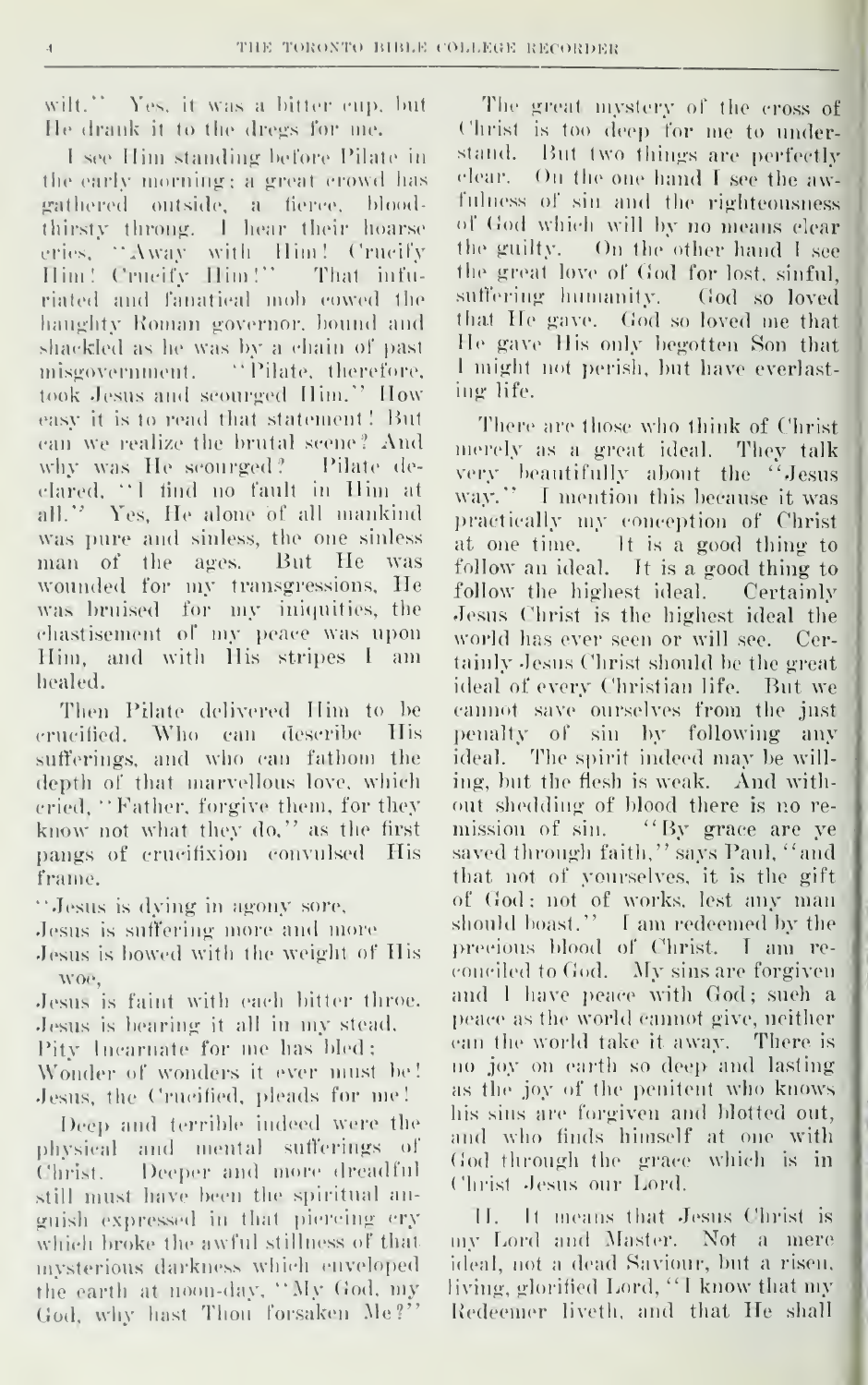wilt." Yes, it was a bitter cup, but He drank it to the dregs for me.

I see Him standing before Pilate in the early morning; a great crowd has gathered outside, a fierce, bloodthirsty throng. I hear their hoarse eries, "Away with Him! Crueify Him! Crueify Him!" That infuriated and fanatical mob cowed the haughty Roman governor, bound and shackled as he was by a chain of past misgovernment. "Pilate, therefore, took Jesus and scourged Him." How easy it is to read that statement! But can we realize the brutal scene? And why was He scourged? Pilate declared, "I find no fault in Him at all." Yes, He alone of all mankind was pure and sinless, the one sinless man of the ages. But He was wounded for my transgressions, He was bruised for my iniquities, the chastisement of my peace was upon Him, and with His stripes I am healed.

Then Pilate delivered Him to be erucified. Who can describe His sufferings, and who can fathom the depth of that marvellous love, which cried. "Father, forgive them, for they know not what they do," as the first pangs of crucifixion convulsed His frame.

"Jesus is dying in agony sore,

Jesus is suffering more and more

Jesus is bowed with the weight of His woe.

Jesus is faint with each bitter throe. Jesus is bearing it all in my stead. Pity Incarnate for me has bled; Wonder of wonders it ever must be! Jesus, the Crueified, pleads for me!

Deep and terrible indeed were the physical and mental sufferings of Christ. Deeper and more dreadful still must have been the spiritual anguish expressed in that piercing ery which broke the awful stillness of that mysterious darkness which enveloped the earth at noon-day, "My God, my God, why hast Thou forsaken Me?"

The great mystery of the cross of Christ is too deep for me to understand. But two things are perfectly clear. On the one hand I see the awfulness of sin and the righteousness of God which will by no means clear the guilty. On the other hand I see the great love of God for lost, sinful, suffering humanity. God so loved that He gave. God so loved me that He gave His only begotten Son that I might not perish, but have everlasting life.

There are those who think of Christ merely as a great ideal. They talk very beautifully about the "Jesus way." I mention this because it was practically my conception of Christ at one time. It is a good thing to follow an ideal. It is a good thing to follow the highest ideal. Certainly Jesus Christ is the highest ideal the world has ever seen or will see. Certainly Jesus Christ should be the great ideal of every Christian life. But we cannot save ourselves from the just penalty of sin by following any ideal. The spirit indeed may be willing, but the flesh is weak. And without shedding of blood there is no remission of sin. "By grace are ye saved through faith," says Paul, "and that not of yourselves, it is the gift of God; not of works, lest any man should boast." I am redeemed by the precious blood of Christ. I am reconciled to God. My sins are forgiven and I have peace with God; such a peace as the world cannot give, neither can the world take it away. There is no joy on earth so deep and lasting as the joy of the penitent who knows his sins are forgiven and blotted out, and who finds himself at one with God through the grace which is in Christ Jesus our Lord.

U. It means that Jesus Christ is my Lord and Master. Not a mere ideal, not a dead Saviour, but a risen, living, glorified Lord, "I know that my Redeemer liveth, and that He shall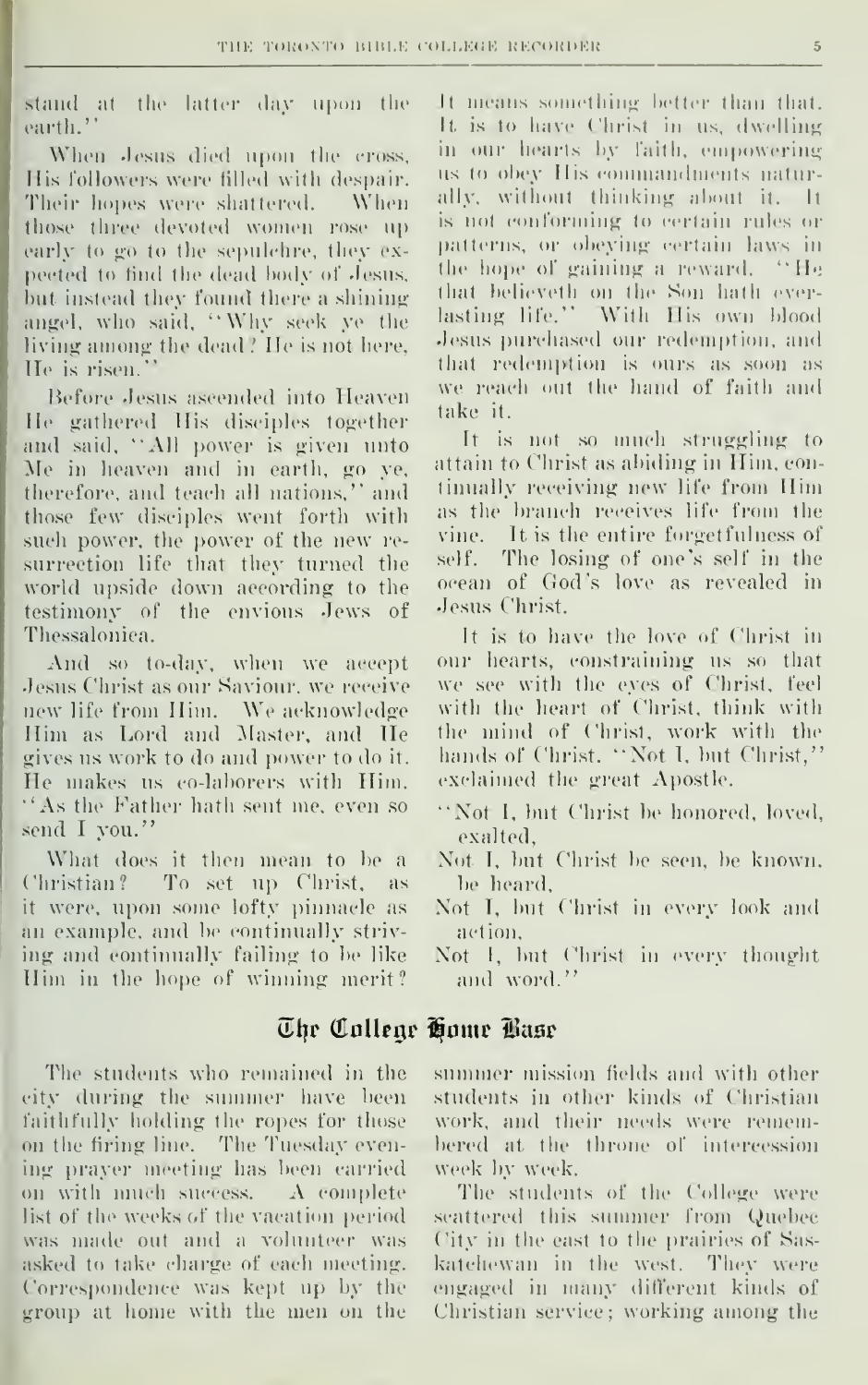stand at the latter day upon the earth."

When Jesus died upon the cross, His followers were filled with despair. Their hopes were shattered. When those three devoted women rose up early to go to the sepulchre, they expected to find the dead body of Jesus, but instead they found there a shining angel, who said, "Why seek ye the living among the dead? He is not here, He is risen."

Before Jesus ascended into Heaven He gathered His disciples together and said, "All power is given unto Me in heaven and in earth, go ve, therefore, and teach all nations," and those few disciples went forth with such power, the power of the new resurrection life that they turned the world upside down according to the testimony of the envious Jews of Thessalonica.

And so to-day, when we accept Jesus Christ as our Saviour, we receive new life from Him. We acknowledge Him as Lord and Master, and He gives us work to do and power to do it. He makes us co-laborers with Him. "As the Father hath sent me, even so send I vou."

What does it then mean to be a Christian? To set up Christ, as it were, upon some lofty pinnacle as an example, and be continually striving and continually failing to be like Him in the hope of winning merit?

The College Home Base

The students who remained in the eity during the summer have been faithfully holding the ropes for those on the firing line. The Tuesday evening prayer meeting has been carried on with much success. A complete list of the weeks of the vacation period was made out and a volunteer was asked to take charge of each meeting. Correspondence was kept up by the group at home with the men on the

It means something better than that. It is to have Christ in us, dwelling in our hearts by faith, empowering us to obey His commandments naturally, without thinking about it. It is not conforming to certain rules or patterns, or obeying certain laws in the hope of gaining a reward. "He that believeth on the Son hath everlasting life." With His own blood Jesus purchased our redemption, and that redemption is ours as soon as we reach out the hand of faith and take it.

It is not so much struggling to attain to Christ as abiding in Him, continually receiving new life from Him as the branch receives life from the vine. It is the entire forgetfulness of self. The losing of one's self in the ocean of God's love as revealed in Jesus Christ.

It is to have the love of Christ in our hearts, constraining us so that we see with the eves of Christ, feel with the heart of Christ, think with the mind of Christ, work with the hands of Christ. "Not I, but Christ," exclaimed the great Apostle.

- "Not I, but Christ be honored, loved, exalted.
- Not I, but Christ be seen, be known. be heard.
- Not I, but Christ in every look and action.
- Not I, but Christ in every thought and word."

summer mission fields and with other students in other kinds of Christian work, and their needs were remembered at the throne of intercession week by week.

The students of the College were scattered this summer from Quebec City in the east to the prairies of Saskatchewan in the west. They were engaged in many different kinds of Christian service; working among the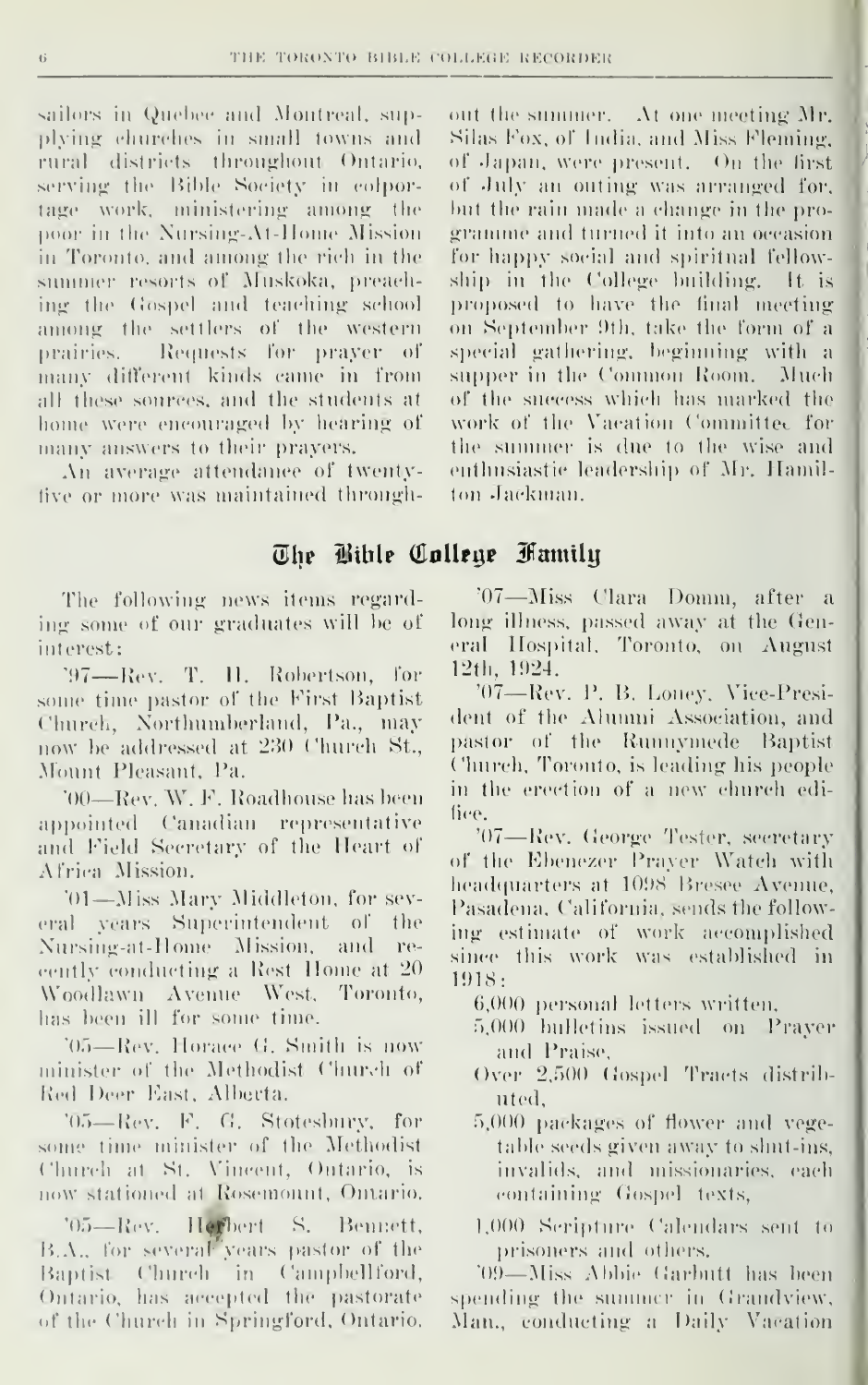sailors in Quebec and Montreal, supplying churches in small towns and rural districts throughout Ontario, serving the Bible Society in colportage work, ministering among the poor in the Nursing-At-Home Mission in Toronto, and among the rich in the summer resorts of Muskoka, preaching the Gospel and teaching school among the settlers of the western prairies. Requests for prayer of many different kinds came in from all these sources, and the students at home were encouraged by hearing of many answers to their prayers.

An average attendance of twentyfive or more was maintained through-

The Bible College Hamily

The following news items regarding some of our graduates will be of interest:

'97-Rev. T. H. Robertson, for some time pastor of the First Baptist Church, Northumberland, Pa., may now be addressed at 230 Church St., Mount Pleasant, Pa.

'00-Rev. W. F. Roadhouse has been appointed Canadian representative and Field Secretary of the Heart of Africa Mission.

'01—Miss Mary Middleton, for several years Superintendent of the Nursing-at-Home Mission, and reeently conducting a Rest Home at 20 Woodlawn Avenue West. Toronto, has been ill for some time.

'05-Rev. Horace G. Smith is now minister of the Methodist Church of Red Deer East, Alberta.

'05—Rev. F. G. Stotesbury, for some time minister of the Methodist Church at St. Vincent, Ontario, is now stationed at Rosemount, Omario.

'05-Rev. Herbert S. Bennett, B.A., for several years pastor of the Baptist Church in Campbellford, Ontario, has accepted the pastorate of the Church in Springford, Ontario. out the summer. At one meeting  $Mr$ . Silas Fox, of India, and Miss Fleming. of Japan, were present. On the first of July an outing was arranged for, but the rain made a change in the programme and turned it into an occasion for happy social and spiritual fellowship in the College building. It is proposed to have the final meeting on September 9th, take the form of a special gathering, beginning with a supper in the Common Room. Much of the success which has marked the work of the Vacation Committee for the summer is due to the wise and enthusiastic leadership of Mr. Hamilton Jackman.

'07—Miss Clara Domm, after a long illness, passed away at the General Hospital, Toronto, on August 12th, 1924.

'07-Rev. P. B. Loney, Vice-President of the Alumni Association, and pastor of the Runnymede Baptist Church, Toronto, is leading his people in the erection of a new church edifice.

'07—Rev. George Tester, secretary of the Ebenezer Prayer Watch with headquarters at 1098 Bresee Avenue, Pasadena, California, sends the following estimate of work accomplished since this work was established in  $1918 -$ 

6,000 personal letters written,

- 5,000 bulletins issued on Prayer and Praise.
- Over 2,500 Gospel Tracts distributed.
- 5,000 packages of flower and vegetable seeds given away to shut-ins. invalids, and missionaries, each containing Gospel texts,
- 1,000 Seripture Calendars sent to prisoners and others.

'09-Miss Abbie Garbutt has been spending the summer in Grandview, Man., conducting a Daily Vacation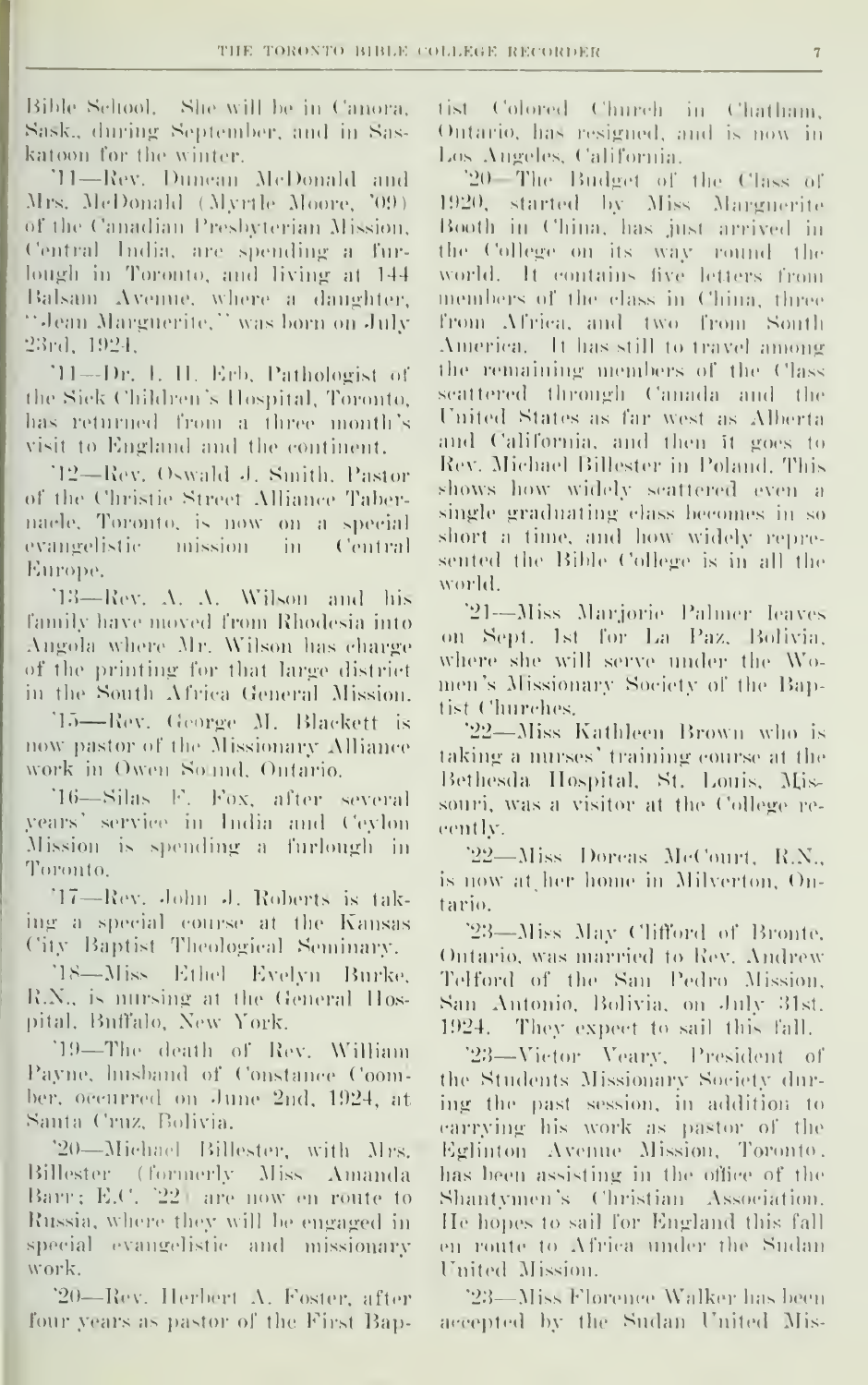Bible Seltool. She will be in Canora, Sask., during September, and in Saskatoon for the winter.

'11-Rev. Duncan McDonald and Mrs. McDonald (Myrtle Moore, '09) of the Canadian Presbyterian Mission, Central India, are spending a furlough in Toronto, and living at 144 Balsam Avenue, where a daughter, "Jean Marguerite," was born on July 23rd, 1924.

'11-Dr. I. II. Erb. Pathologist of the Sick Children's Hospital, Toronto, has returned from a three month's visit to England and the continent.

12-Rev. Oswald J. Smith, Pastor of the Christie Street Alliance Tabernacle. Toronto, is now on a special mission in Central evangelistic Europe.

T3—Rev. A. A. Wilson and his family have moved from Rhodesia into Angola where Mr. Wilson has charge of the printing for that large district in the South Africa General Mission.

'15-Rev. George M. Blackett is now pastor of the Missionary Alliance work in Owen Sound, Ontario.

16—Silas F. Fox, after several years' service in India and Ceylon Mission is spending a furlough in Toronto.

117-Rev. John J. Roberts is taking a special course at the Kansas City Baptist Theological Seminary.

'18-Miss Ethel Evelyn Burke, R.N., is nursing at the General Hospital, Buffalo, New York.

'19-The death of Rev. William Payne, husband of Constance Coomber, occurred on June 2nd, 1924, at Santa Cruz, Bolivia.

'20-Michael Billester, with Mrs. Billester (formerly Miss Amanda Barr; E.C. 22 are now en route to Russia, where they will be engaged in special evangelistic and missionary work.

'20—Rev. Herbert A. Foster, after four years as pastor of the First Baptist Colored Church in Chatham, Ontario, has resigned, and is now in Los Angeles, California.

'20-The Budget of the Class of 1920, started by Miss Margnerite Booth in China, has just arrived in the College on its way round the world. It contains five letters from members of the class in China, three from Africa, and two from South America. It has still to travel among the remaining members of the Class seattered through Canada and the United States as far west as Alberta and California, and then it goes to Rev. Michael Billester in Poland, This shows how widely scattered even a single graduating class becomes in so short a time, and how widely represented the Bible College is in all the world.

'21-Miss Marjorie Palmer leaves on Sept. 1st for La Paz. Bolivia. where she will serve under the Women's Missionary Society of the Baptist Churches.

'22-Miss Kathleen Brown who is taking a nurses' training course at the Bethesda Hospital, St. Louis, Missouri, was a visitor at the College recently.

22-Miss Doreas McCourt, R.N., is now at her home in Milverton, Ontario.

23-Miss May Clifford of Bronte, Ontario, was married to Rev. Andrew Telford of the San Pedro Mission, San Antonio, Bolivia, on July 31st. 1924. They expect to sail this fall.

'23-Victor Veary, President of the Students Missionary Society during the past session, in addition to carrying his work as pastor of the Eglinton Avenue Mission, Toronto. has been assisting in the office of the Shantymen's Christian Association. He hopes to sail for England this fall en route to Africa under the Sudan United Mission.

"23—Miss Florence Walker has been accepted by the Sudan United Mis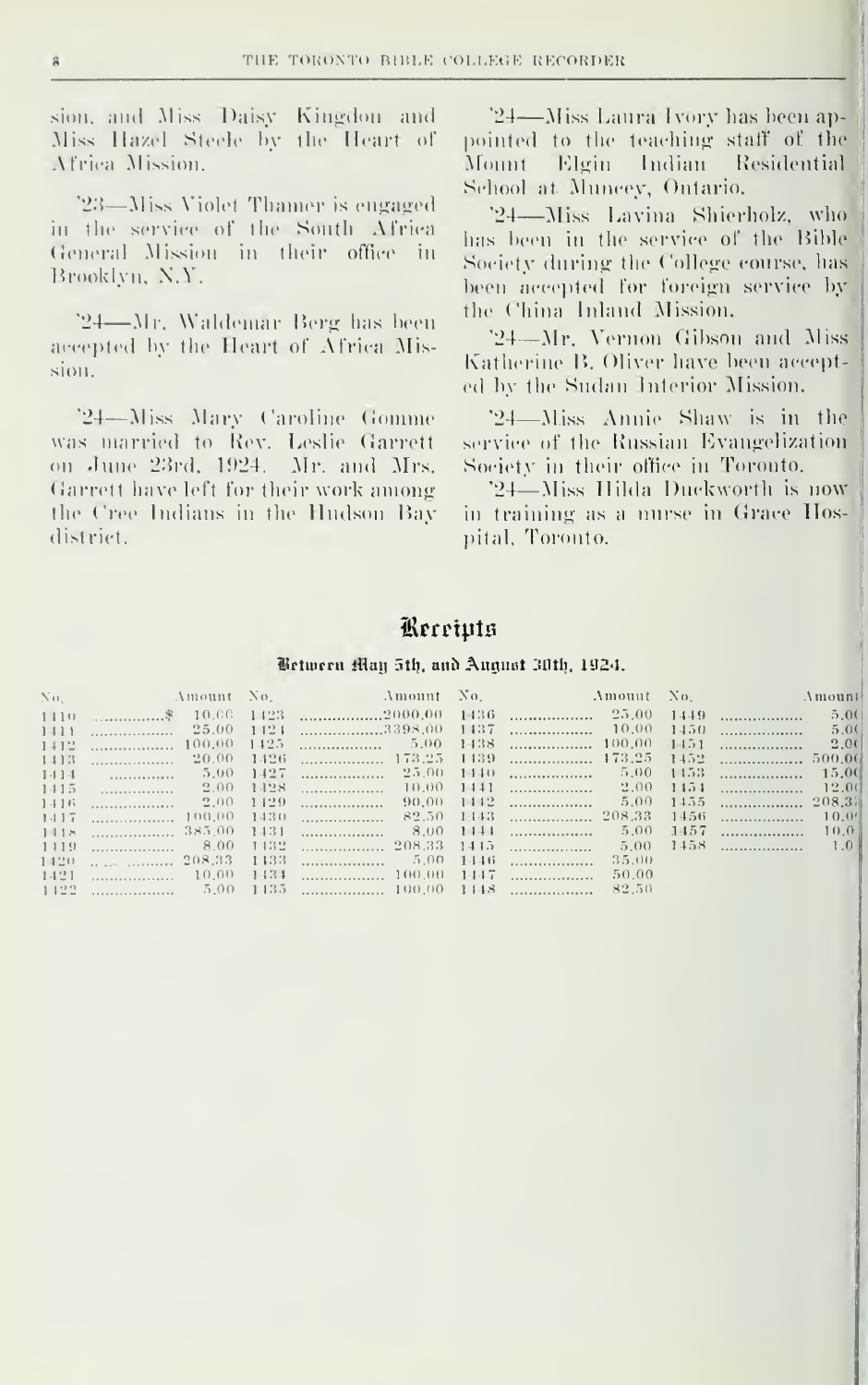sion, and Miss Daisy Kingdon and Miss Hazel Steele by the Heart of Africa Mission.

'23-Miss Violet Thamer is engaged in the service of the South Africa General Mission in their office in Brooklyn, N.Y.

'24-Mr. Waldemar Berg has been accepted by the Heart of Africa Mission.

24—Miss Mary Caroline Gomme was married to Rev. Leslie Garrett on June 23rd, 1924. Mr. and Mrs. Garrett have left for their work among the Cree Indians in the Hudson Bay district.

'24-Miss Laura Ivory has been appointed to the teaching staff of the Mount Elgin Indian Residential School at Muncey, Ontario.

'24-Miss Lavina Shierholz, who has been in the service of the Bible Society during the College course, has been accepted for foreign service by the China Inland Mission.

'24—Mr. Vernon Gibson and Miss Katherine B. Oliver have been accepted by the Sudan Interior Mission.

'24—Miss Annie Shaw is in the service of the Russian Evangelization Society in their office in Toronto.

24—Miss Hilda Duckworth is now in training as a nurse in Grace Hospital, Toronto.

#### **Kerripts**

#### Betwern May 5th, and August 30th, 1924.

|  |  | 1412  100.00 1425  5.00 1438  100.00 1451  2.00         |  |       |  |  |
|--|--|---------------------------------------------------------|--|-------|--|--|
|  |  |                                                         |  |       |  |  |
|  |  |                                                         |  |       |  |  |
|  |  |                                                         |  |       |  |  |
|  |  |                                                         |  |       |  |  |
|  |  |                                                         |  |       |  |  |
|  |  |                                                         |  |       |  |  |
|  |  |                                                         |  |       |  |  |
|  |  | $1120$ $\ldots$ 208.33 1133 $\ldots$ 5.00 1446 $\ldots$ |  | 35.00 |  |  |
|  |  |                                                         |  |       |  |  |
|  |  |                                                         |  |       |  |  |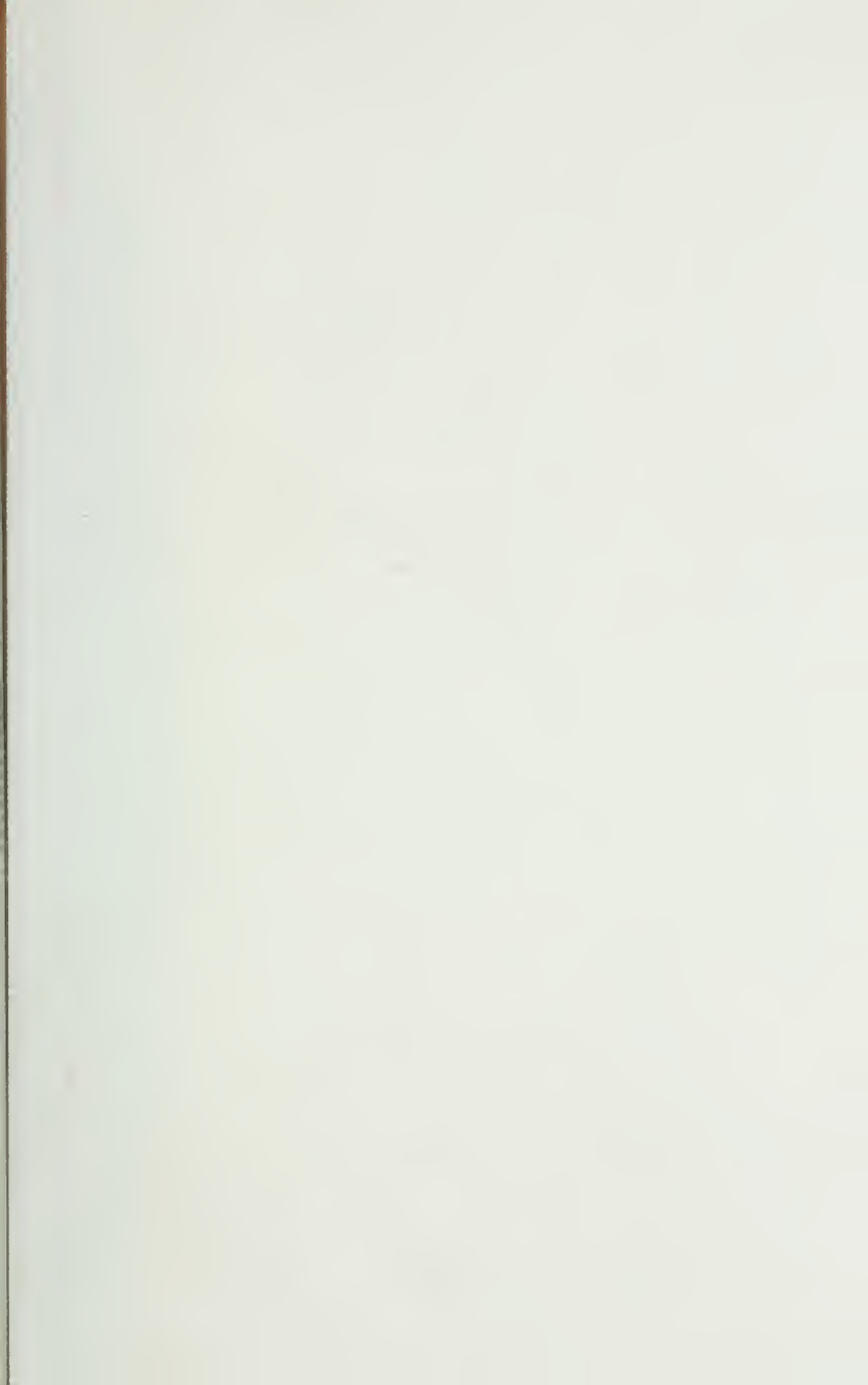![](_page_14_Picture_0.jpeg)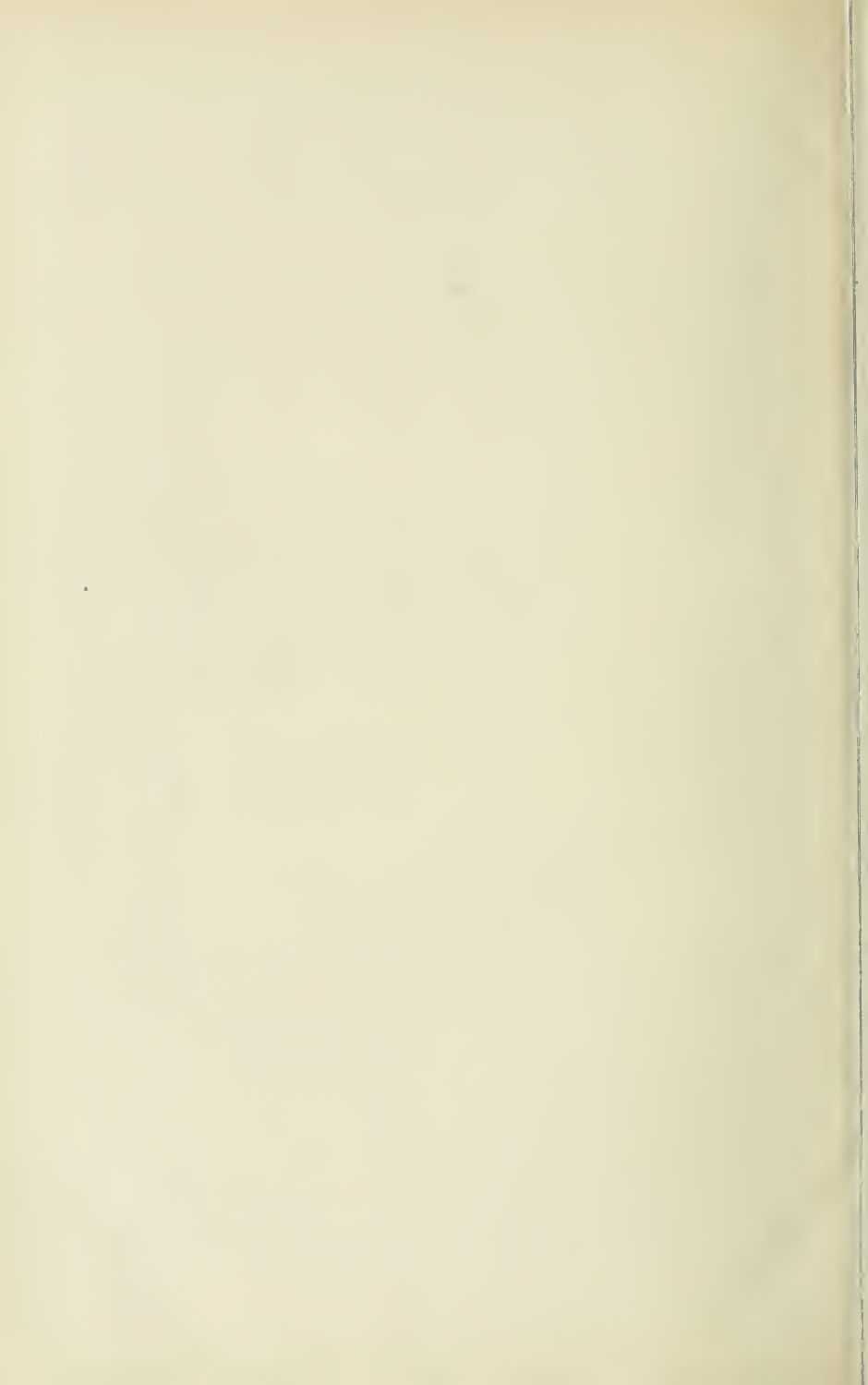![](_page_15_Picture_0.jpeg)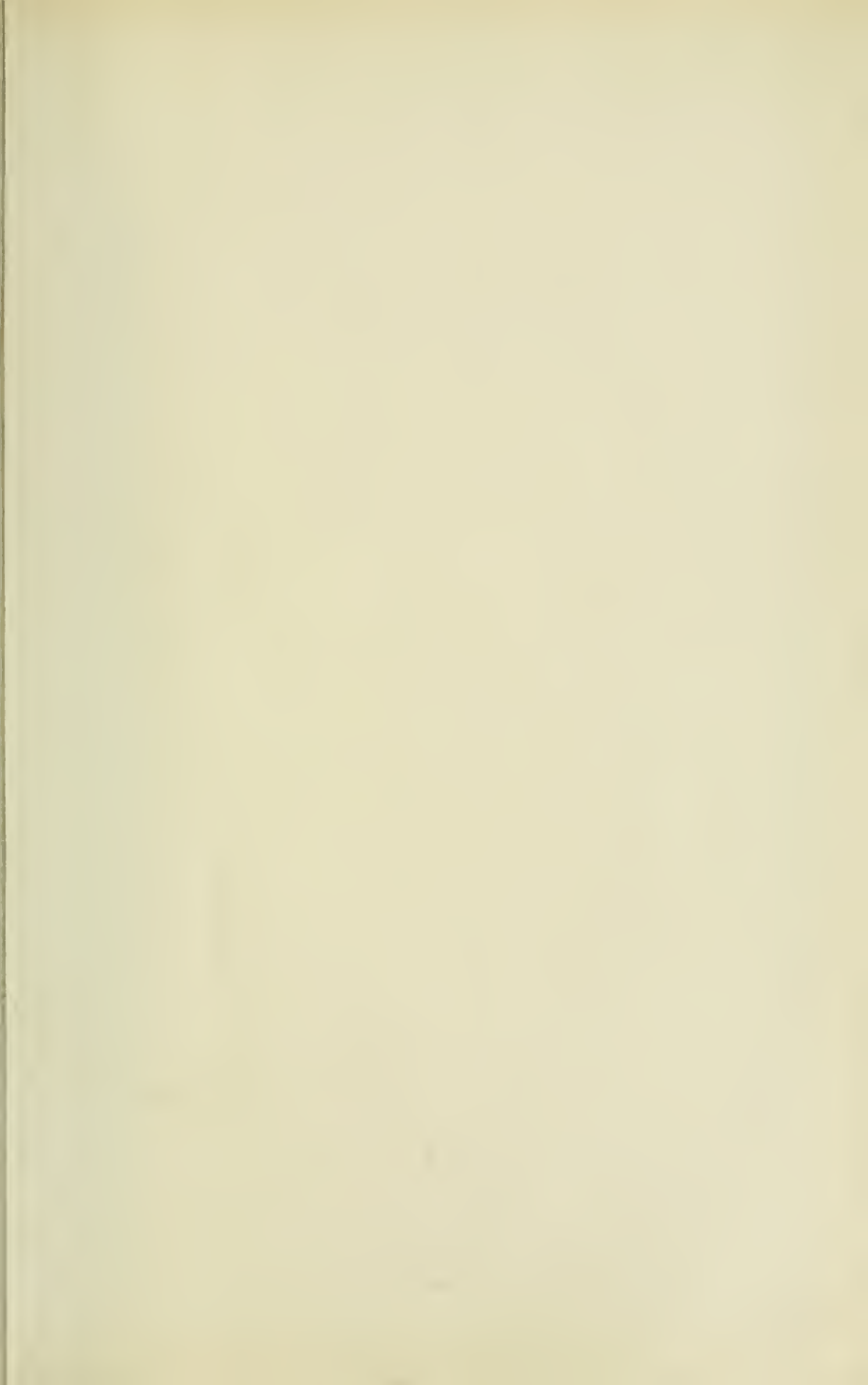![](_page_16_Picture_0.jpeg)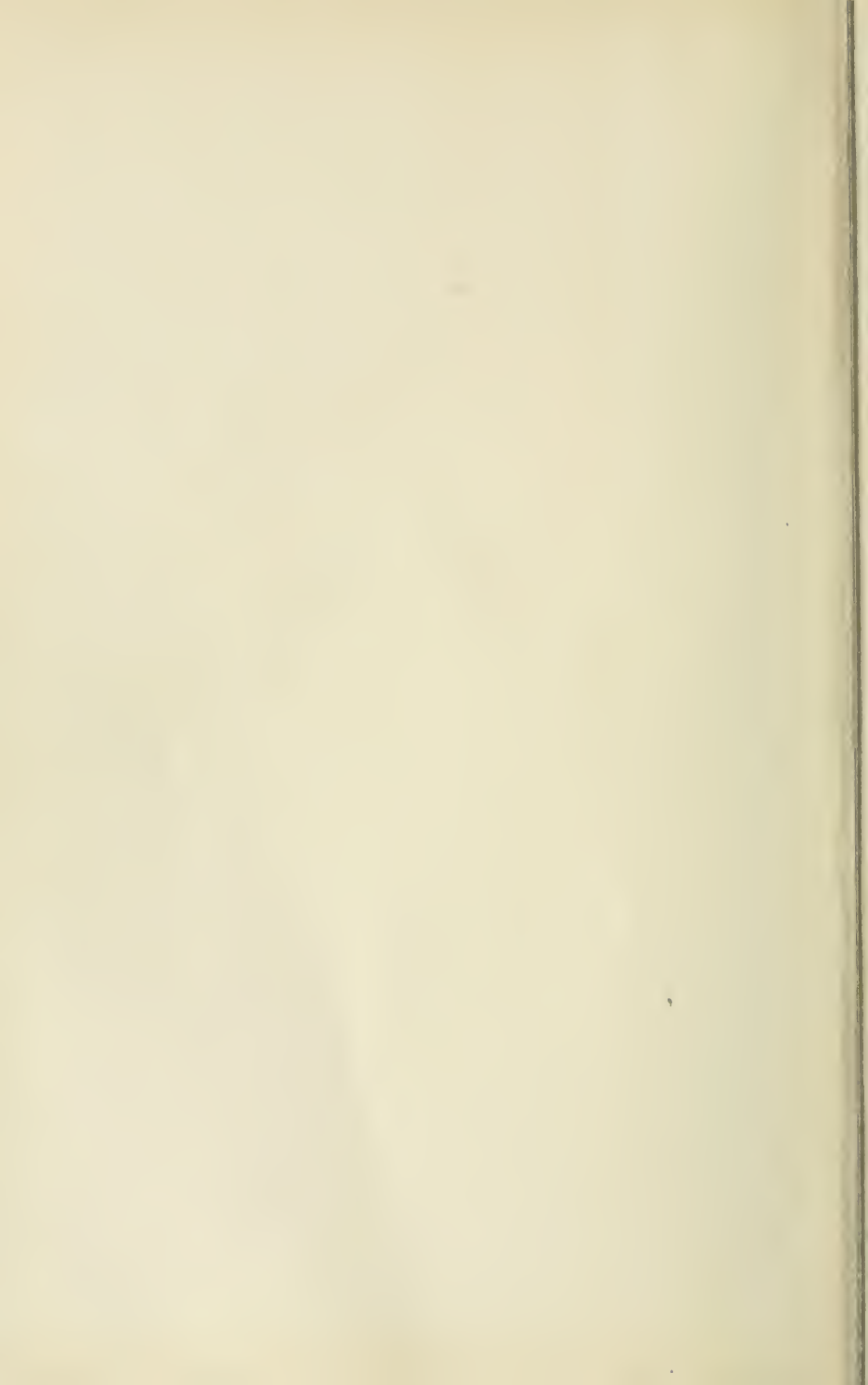![](_page_17_Picture_0.jpeg)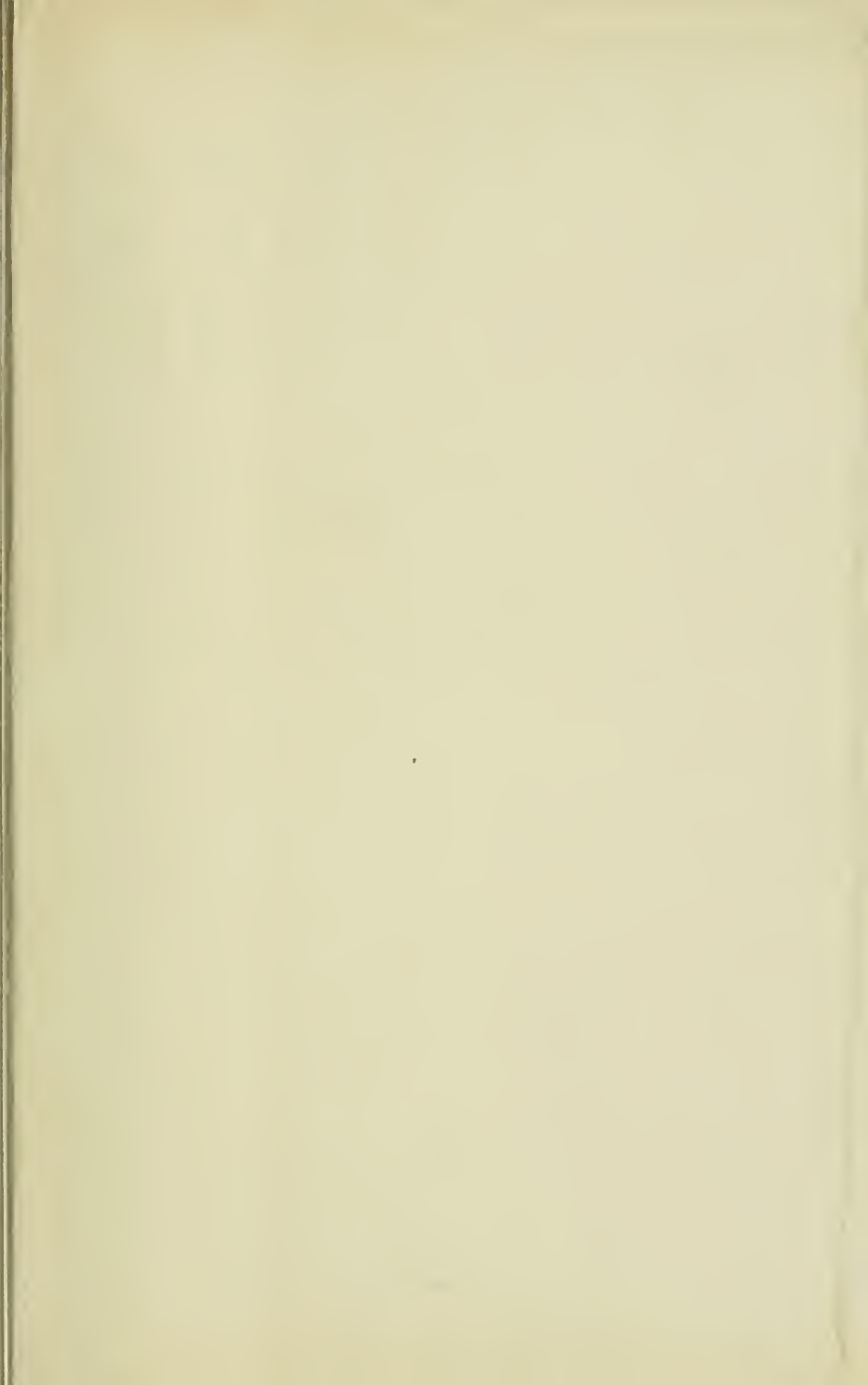![](_page_18_Picture_0.jpeg)